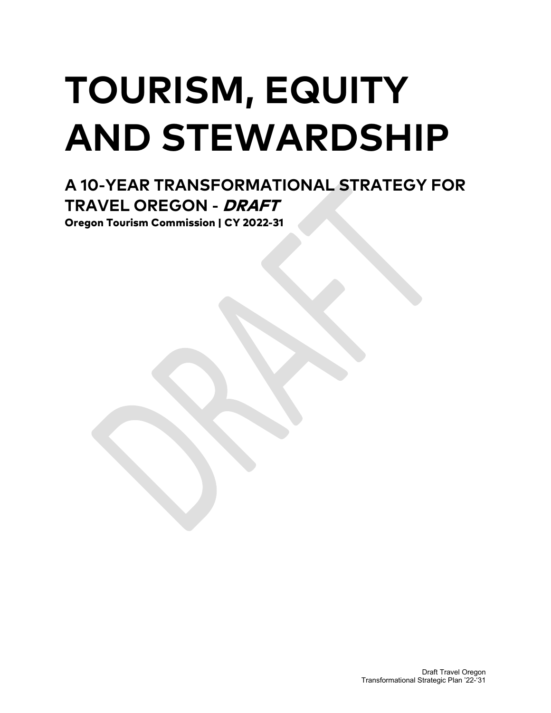# **TOURISM, EQUITY AND STEWARDSHIP**

# **A 10-YEAR TRANSFORMATIONAL STRATEGY FOR TRAVEL OREGON -** DRAFT

Oregon Tourism Commission | CY 2022-31

Draft Travel Oregon Transformational Strategic Plan '22-'31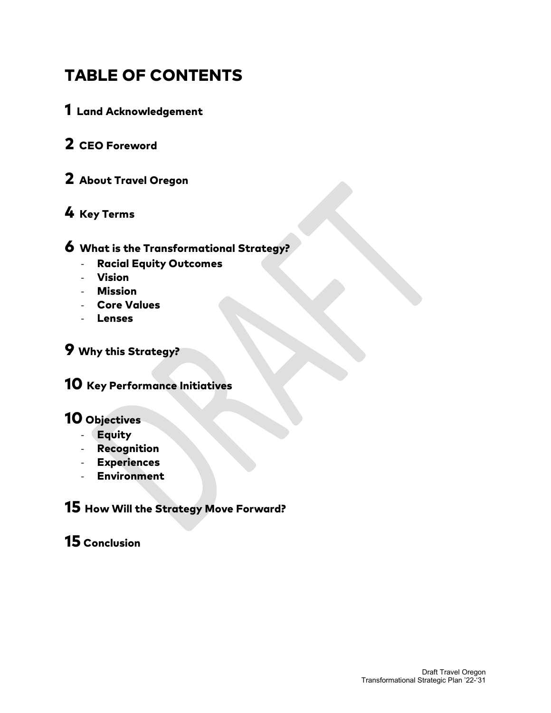### TABLE OF CONTENTS

- 1 Land Acknowledgement
- 2 CEO Foreword
- 2 About Travel Oregon

### 4 Key Terms

#### 6 What is the Transformational Strategy?

- Racial Equity Outcomes
- Vision
- Mission
- Core Values
- Lenses

### 9 Why this Strategy?

10 Key Performance Initiatives

### 10 Objectives

- Equity
- Recognition
- Experiences
- Environment

### 15 How Will the Strategy Move Forward?

### 15 Conclusion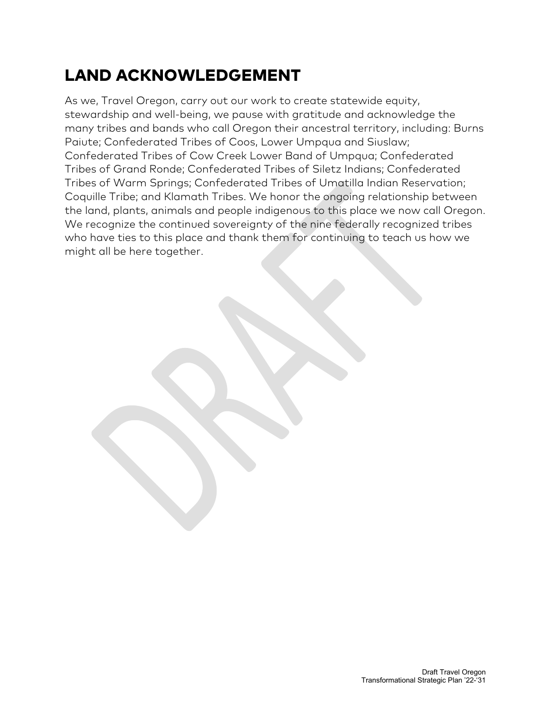# LAND ACKNOWLEDGEMENT

As we, Travel Oregon, carry out our work to create statewide equity, stewardship and well-being, we pause with gratitude and acknowledge the many tribes and bands who call Oregon their ancestral territory, including: Burns Paiute; Confederated Tribes of Coos, Lower Umpqua and Siuslaw; Confederated Tribes of Cow Creek Lower Band of Umpqua; Confederated Tribes of Grand Ronde; Confederated Tribes of Siletz Indians; Confederated Tribes of Warm Springs; Confederated Tribes of Umatilla Indian Reservation; Coquille Tribe; and Klamath Tribes. We honor the ongoing relationship between the land, plants, animals and people indigenous to this place we now call Oregon. We recognize the continued sovereignty of the nine federally recognized tribes who have ties to this place and thank them for continuing to teach us how we might all be here together.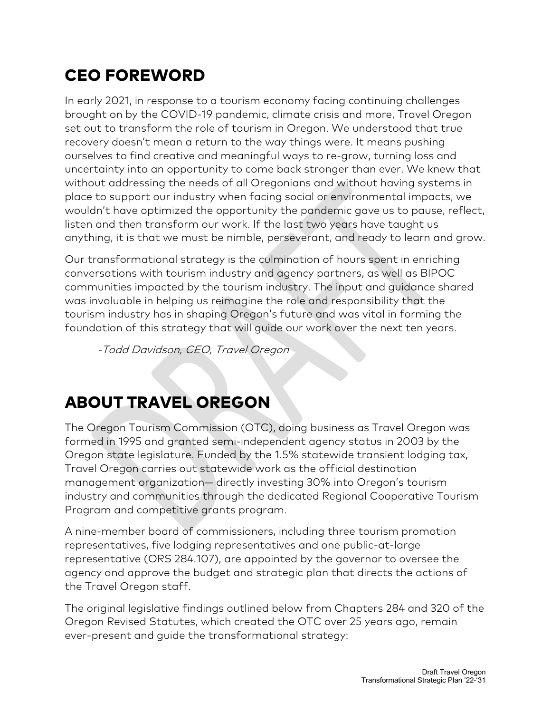# CEO FOREWORD

In early 2021, in response to a tourism economy facing continuing challenges brought on by the COVID-19 pandemic, climate crisis and more, Travel Oregon set out to transform the role of tourism in Oregon. We understood that true recovery doesn't mean a return to the way things were. It means pushing ourselves to find creative and meaningful ways to re-grow, turning loss and uncertainty into an opportunity to come back stronger than ever. We knew that without addressing the needs of all Oregonians and without having systems in place to support our industry when facing social or environmental impacts, we wouldn't have optimized the opportunity the pandemic gave us to pause, reflect, listen and then transform our work. If the last two years have taught us anything, it is that we must be nimble, perseverant, and ready to learn and grow.

Our transformational strategy is the culmination of hours spent in enriching conversations with tourism industry and agency partners, as well as BIPOC communities impacted by the tourism industry. The input and guidance shared was invaluable in helping us reimagine the role and responsibility that the tourism industry has in shaping Oregon's future and was vital in forming the foundation of this strategy that will guide our work over the next ten years.

-Todd Davidson, CEO, Travel Oregon

# ABOUT TRAVEL OREGON

The Oregon Tourism Commission (OTC), doing business as Travel Oregon was formed in 1995 and granted semi-independent agency status in 2003 by the Oregon state legislature. Funded by the 1.5% statewide transient lodging tax, Travel Oregon carries out statewide work as the official destination management organization— directly investing 30% into Oregon's tourism industry and communities through the dedicated Regional Cooperative Tourism Program and competitive grants program.

A nine-member board of commissioners, including three tourism promotion representatives, five lodging representatives and one public-at-large representative (ORS 284.107), are appointed by the governor to oversee the agency and approve the budget and strategic plan that directs the actions of the Travel Oregon staff.

The original legislative findings outlined below from Chapters 284 and 320 of the Oregon Revised Statutes, which created the OTC over 25 years ago, remain ever-present and guide the transformational strategy: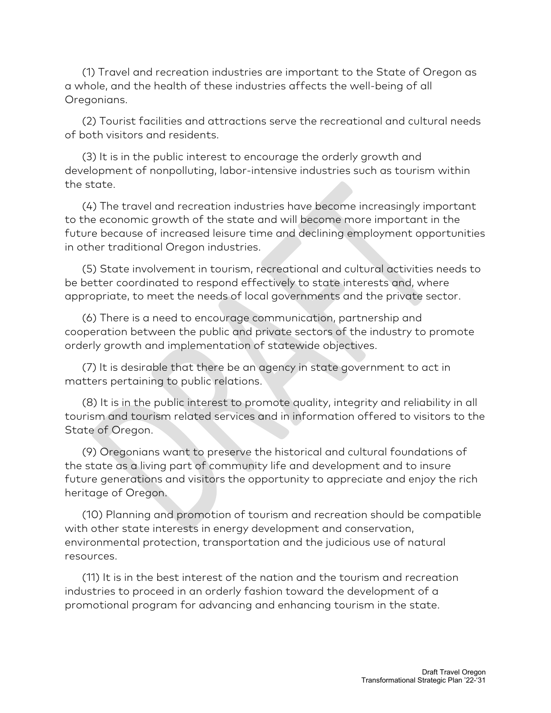(1) Travel and recreation industries are important to the State of Oregon as a whole, and the health of these industries affects the well-being of all Oregonians.

 (2) Tourist facilities and attractions serve the recreational and cultural needs of both visitors and residents.

 (3) It is in the public interest to encourage the orderly growth and development of nonpolluting, labor-intensive industries such as tourism within the state.

 (4) The travel and recreation industries have become increasingly important to the economic growth of the state and will become more important in the future because of increased leisure time and declining employment opportunities in other traditional Oregon industries.

 (5) State involvement in tourism, recreational and cultural activities needs to be better coordinated to respond effectively to state interests and, where appropriate, to meet the needs of local governments and the private sector.

 (6) There is a need to encourage communication, partnership and cooperation between the public and private sectors of the industry to promote orderly growth and implementation of statewide objectives.

 (7) It is desirable that there be an agency in state government to act in matters pertaining to public relations.

 (8) It is in the public interest to promote quality, integrity and reliability in all tourism and tourism related services and in information offered to visitors to the State of Oregon.

 (9) Oregonians want to preserve the historical and cultural foundations of the state as a living part of community life and development and to insure future generations and visitors the opportunity to appreciate and enjoy the rich heritage of Oregon.

 (10) Planning and promotion of tourism and recreation should be compatible with other state interests in energy development and conservation, environmental protection, transportation and the judicious use of natural resources.

 (11) It is in the best interest of the nation and the tourism and recreation industries to proceed in an orderly fashion toward the development of a promotional program for advancing and enhancing tourism in the state.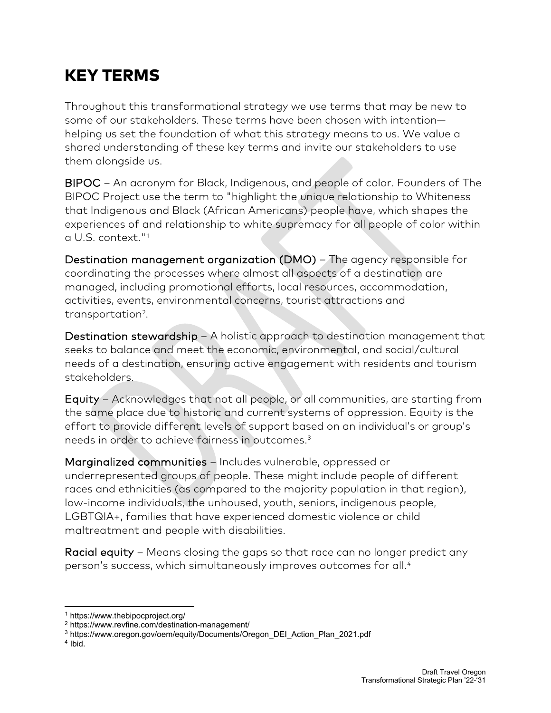# KEY TERMS

Throughout this transformational strategy we use terms that may be new to some of our stakeholders. These terms have been chosen with intention helping us set the foundation of what this strategy means to us. We value a shared understanding of these key terms and invite our stakeholders to use them alongside us.

BIPOC – An acronym for Black, Indigenous, and people of color. Founders of The BIPOC Project use the term to "highlight the unique relationship to Whiteness that Indigenous and Black (African Americans) people have, which shapes the experiences of and relationship to white supremacy for all people of color within a U.S. context."[1](#page-5-0)

Destination management organization (DMO) – The agency responsible for coordinating the processes where almost all aspects of a destination are managed, including promotional efforts, local resources, accommodation, activities, events, environmental concerns, tourist attractions and transportation<sup>[2](#page-5-1)</sup>.

Destination stewardship – A holistic approach to destination management that seeks to balance and meet the economic, environmental, and social/cultural needs of a destination, ensuring active engagement with residents and tourism stakeholders.

Equity – Acknowledges that not all people, or all communities, are starting from the same place due to historic and current systems of oppression. Equity is the effort to provide different levels of support based on an individual's or group's needs in order to achieve fairness in outcomes.[3](#page-5-2)

Marginalized communities – Includes vulnerable, oppressed or underrepresented groups of people. These might include people of different races and ethnicities (as compared to the majority population in that region), low-income individuals, the unhoused, youth, seniors, indigenous people, LGBTQIA+, families that have experienced [domestic violence](https://doi.org/10.1007/978-94-007-0753-5_3357) or [child](https://doi.org/10.1007/978-94-007-0753-5_100457)  [maltreatment](https://doi.org/10.1007/978-94-007-0753-5_100457) and people with disabilities.

Racial equity – Means closing the gaps so that race can no longer predict any person's success, which simultaneously improves outcomes for all.<sup>[4](#page-5-3)</sup>

<span id="page-5-0"></span><sup>1</sup> https://www.thebipocproject.org/

<span id="page-5-1"></span><sup>2</sup> https://www.revfine.com/destination-management/

<span id="page-5-2"></span><sup>3</sup> https://www.oregon.gov/oem/equity/Documents/Oregon\_DEI\_Action\_Plan\_2021.pdf

<span id="page-5-3"></span><sup>&</sup>lt;sup>4</sup> Ibid.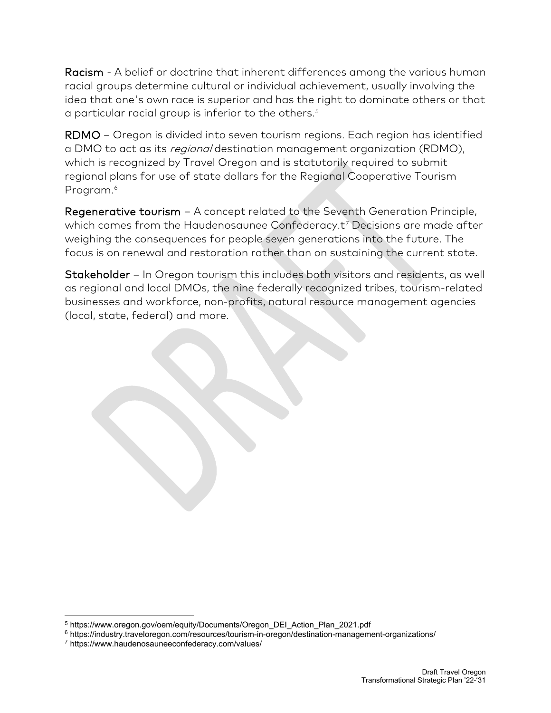Racism - A belief or doctrine that inherent differences among the various human racial groups determine cultural or individual achievement, usually involving the idea that one's own race is superior and has the right to dominate others or that a particular racial group is inferior to the others.<sup>[5](#page-6-0)</sup>

RDMO – Oregon is divided into seven tourism regions. Each region has identified a DMO to act as its regional destination management organization (RDMO), which is recognized by Travel Oregon and is statutorily required to submit regional plans for use of state dollars for the Regional Cooperative Tourism Program. [6](#page-6-1)

Regenerative tourism – A concept related to the Seventh Generation Principle, which comes from the Haudenosaunee Confederacy.t<sup>[7](#page-6-2)</sup> Decisions are made after weighing the consequences for people seven generations into the future. The focus is on renewal and restoration rather than on sustaining the current state.

Stakeholder – In Oregon tourism this includes both visitors and residents, as well as regional and local DMOs, the nine federally recognized tribes, tourism-related businesses and workforce, non-profits, natural resource management agencies (local, state, federal) and more.

<span id="page-6-0"></span><sup>5</sup> https://www.oregon.gov/oem/equity/Documents/Oregon\_DEI\_Action\_Plan\_2021.pdf

<span id="page-6-1"></span><sup>6</sup> https://industry.traveloregon.com/resources/tourism-in-oregon/destination-management-organizations/

<span id="page-6-2"></span><sup>7</sup> https://www.haudenosauneeconfederacy.com/values/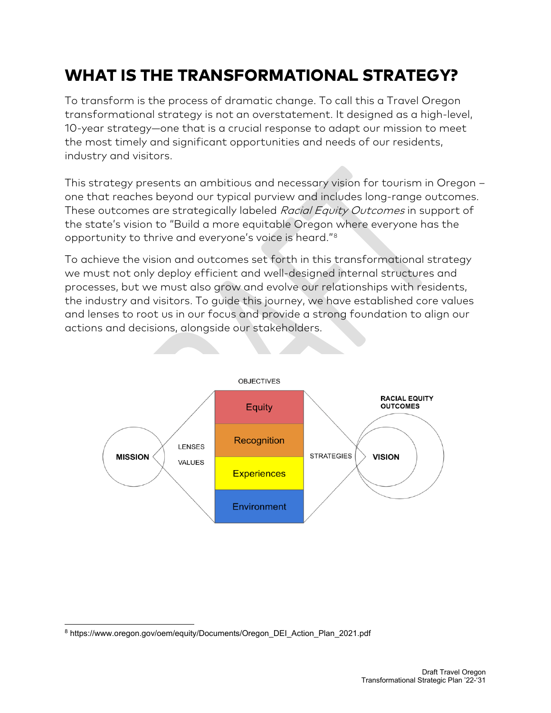# WHAT IS THE TRANSFORMATIONAL STRATEGY?

To transform is the process of dramatic change. To call this a Travel Oregon transformational strategy is not an overstatement. It designed as a high-level, 10-year strategy—one that is a crucial response to adapt our mission to meet the most timely and significant opportunities and needs of our residents, industry and visitors.

This strategy presents an ambitious and necessary vision for tourism in Oregon – one that reaches beyond our typical purview and includes long-range outcomes. These outcomes are strategically labeled Racial Equity Outcomes in support of the state's vision to "Build a more equitable Oregon where everyone has the opportunity to thrive and everyone's voice is heard."[8](#page-7-0)

To achieve the vision and outcomes set forth in this transformational strategy we must not only deploy efficient and well-designed internal structures and processes, but we must also grow and evolve our relationships with residents, the industry and visitors. To guide this journey, we have established core values and lenses to root us in our focus and provide a strong foundation to align our actions and decisions, alongside our stakeholders.



<span id="page-7-0"></span><sup>8</sup> https://www.oregon.gov/oem/equity/Documents/Oregon\_DEI\_Action\_Plan\_2021.pdf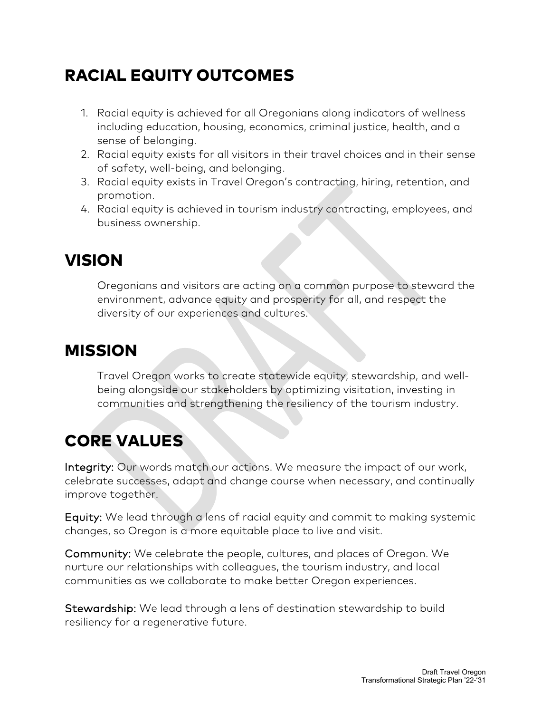# RACIAL EQUITY OUTCOMES

- 1. Racial equity is achieved for all Oregonians along indicators of wellness including education, housing, economics, criminal justice, health, and a sense of belonging.
- 2. Racial equity exists for all visitors in their travel choices and in their sense of safety, well-being, and belonging.
- 3. Racial equity exists in Travel Oregon's contracting, hiring, retention, and promotion.
- 4. Racial equity is achieved in tourism industry contracting, employees, and business ownership.

### VISION

Oregonians and visitors are acting on a common purpose to steward the environment, advance equity and prosperity for all, and respect the diversity of our experiences and cultures.

### MISSION

Travel Oregon works to create statewide equity, stewardship, and wellbeing alongside our stakeholders by optimizing visitation, investing in communities and strengthening the resiliency of the tourism industry.

# CORE VALUES

Integrity: Our words match our actions. We measure the impact of our work, celebrate successes, adapt and change course when necessary, and continually improve together.

Equity: We lead through a lens of racial equity and commit to making systemic changes, so Oregon is a more equitable place to live and visit.

Community: We celebrate the people, cultures, and places of Oregon. We nurture our relationships with colleagues, the tourism industry, and local communities as we collaborate to make better Oregon experiences.

Stewardship: We lead through a lens of destination stewardship to build resiliency for a regenerative future.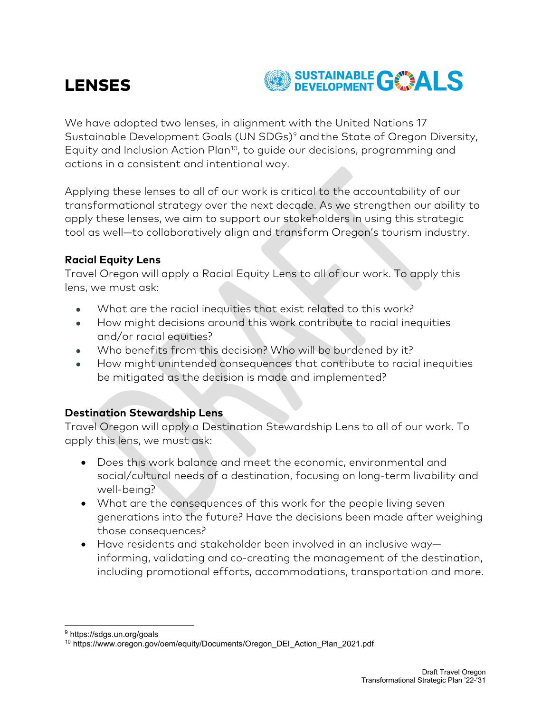### LENSES



We have adopted two lenses, in alignment with the United Nations 17 Sustainable Development Goals (UN SDGs)<sup>[9](#page-9-0)</sup> and the State of Oregon Diversity, Equity and Inclusion Action Plan<sup>[10](#page-9-1)</sup>, to guide our decisions, programming and actions in a consistent and intentional way.

Applying these lenses to all of our work is critical to the accountability of our transformational strategy over the next decade. As we strengthen our ability to apply these lenses, we aim to support our stakeholders in using this strategic tool as well—to collaboratively align and transform Oregon's tourism industry.

#### **Racial Equity Lens**

Travel Oregon will apply a Racial Equity Lens to all of our work. To apply this lens, we must ask:

- What are the racial inequities that exist related to this work?
- How might decisions around this work contribute to racial inequities and/or racial equities?
- Who benefits from this decision? Who will be burdened by it?
- How might unintended consequences that contribute to racial inequities be mitigated as the decision is made and implemented?

#### **Destination Stewardship Lens**

Travel Oregon will apply a Destination Stewardship Lens to all of our work. To apply this lens, we must ask:

- Does this work balance and meet the economic, environmental and social/cultural needs of a destination, focusing on long-term livability and well-being?
- What are the consequences of this work for the people living seven generations into the future? Have the decisions been made after weighing those consequences?
- Have residents and stakeholder been involved in an inclusive way informing, validating and co-creating the management of the destination, including promotional efforts, accommodations, transportation and more.

<span id="page-9-1"></span><span id="page-9-0"></span><sup>9</sup> https://sdgs.un.org/goals

<sup>10</sup> https://www.oregon.gov/oem/equity/Documents/Oregon\_DEI\_Action\_Plan\_2021.pdf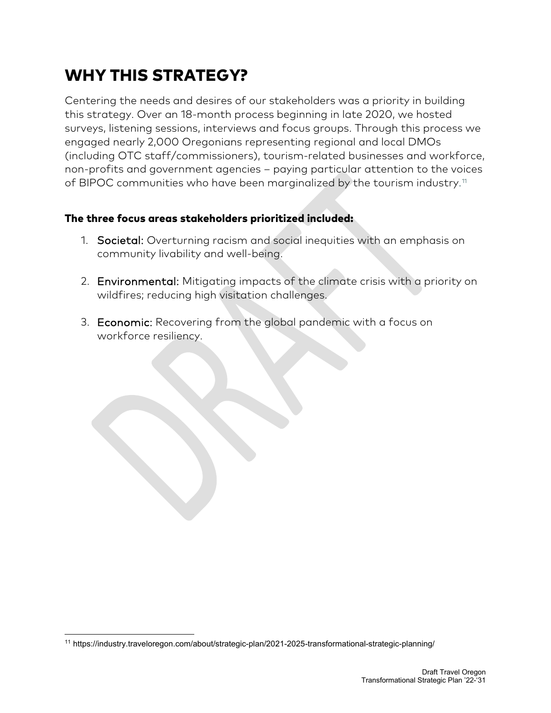# WHY THIS STRATEGY?

Centering the needs and desires of our stakeholders was a priority in building this strategy. Over an 18-month process beginning in late 2020, we hosted surveys, listening sessions, interviews and focus groups. Through this process we engaged nearly 2,000 Oregonians representing regional and local DMOs (including OTC staff/commissioners), tourism-related businesses and workforce, non-profits and government agencies – paying particular attention to the voices of BIPOC communities who have been marginalized by the tourism industry. $^{\text{\tiny{11}}}$  $^{\text{\tiny{11}}}$  $^{\text{\tiny{11}}}$ 

#### The three focus areas stakeholders prioritized included:

- 1. Societal: Overturning racism and social inequities with an emphasis on community livability and well-being.
- 2. Environmental: Mitigating impacts of the climate crisis with a priority on wildfires; reducing high visitation challenges.
- 3. Economic: Recovering from the global pandemic with a focus on workforce resiliency.

<span id="page-10-0"></span><sup>11</sup> https://industry.traveloregon.com/about/strategic-plan/2021-2025-transformational-strategic-planning/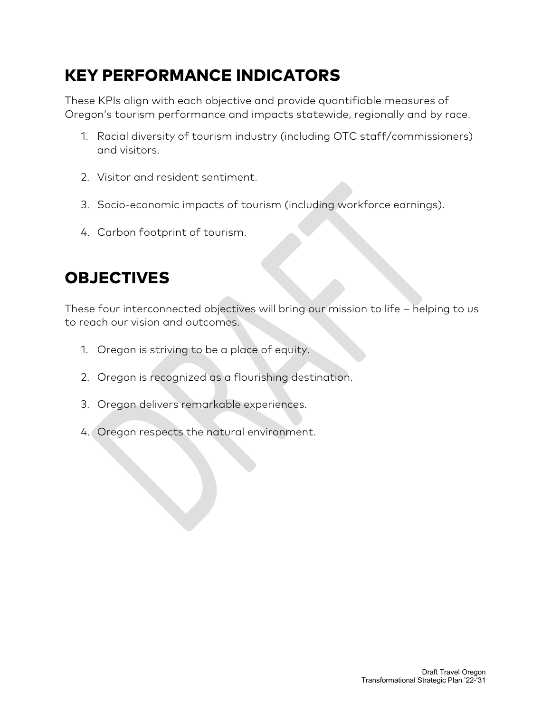# KEY PERFORMANCE INDICATORS

These KPIs align with each objective and provide quantifiable measures of Oregon's tourism performance and impacts statewide, regionally and by race.

- 1. Racial diversity of tourism industry (including OTC staff/commissioners) and visitors.
- 2. Visitor and resident sentiment.
- 3. Socio-economic impacts of tourism (including workforce earnings).
- 4. Carbon footprint of tourism.

# **OBJECTIVES**

These four interconnected objectives will bring our mission to life – helping to us to reach our vision and outcomes.

- 1. Oregon is striving to be a place of equity.
- 2. Oregon is recognized as a flourishing destination.
- 3. Oregon delivers remarkable experiences.
- 4. Oregon respects the natural environment.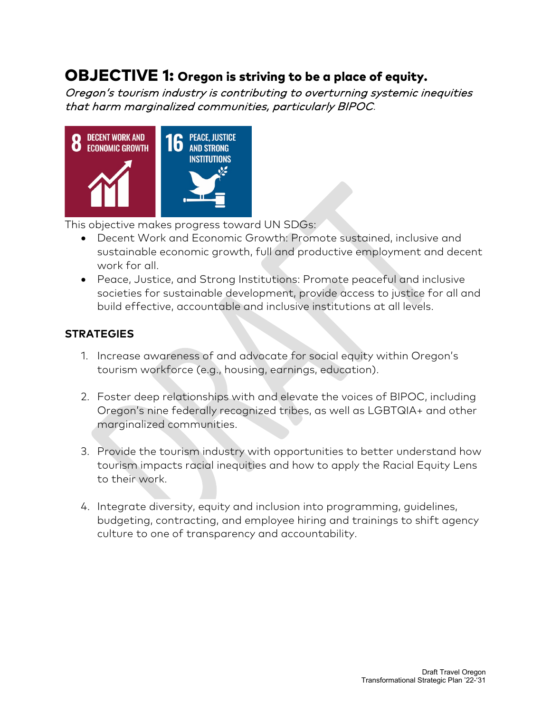### OBJECTIVE 1: Oregon is striving to be a place of equity.

Oregon's tourism industry is contributing to overturning systemic inequities that harm marginalized communities, particularly BIPOC.



This objective makes progress toward UN SDGs:

- Decent Work and Economic Growth: Promote sustained, inclusive and sustainable economic growth, full and productive employment and decent work for all.
- Peace, Justice, and Strong Institutions: Promote peaceful and inclusive societies for sustainable development, provide access to justice for all and build effective, accountable and inclusive institutions at all levels.

- 1. Increase awareness of and advocate for social equity within Oregon's tourism workforce (e.g., housing, earnings, education).
- 2. Foster deep relationships with and elevate the voices of BIPOC, including Oregon's nine federally recognized tribes, as well as LGBTQIA+ and other marginalized communities.
- 3. Provide the tourism industry with opportunities to better understand how tourism impacts racial inequities and how to apply the Racial Equity Lens to their work.
- 4. Integrate diversity, equity and inclusion into programming, guidelines, budgeting, contracting, and employee hiring and trainings to shift agency culture to one of transparency and accountability.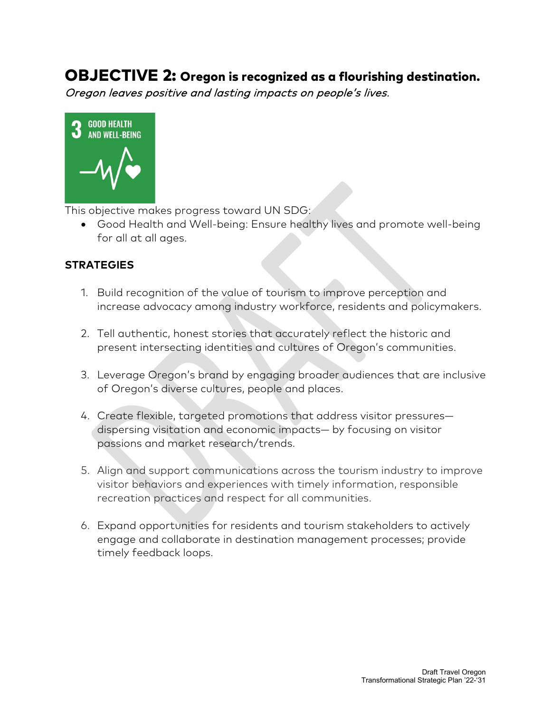### OBJECTIVE 2: Oregon is recognized as a flourishing destination.

Oregon leaves positive and lasting impacts on people's lives.



This objective makes progress toward UN SDG:

• Good Health and Well-being: Ensure healthy lives and promote well-being for all at all ages.

- 1. Build recognition of the value of tourism to improve perception and increase advocacy among industry workforce, residents and policymakers.
- 2. Tell authentic, honest stories that accurately reflect the historic and present intersecting identities and cultures of Oregon's communities.
- 3. Leverage Oregon's brand by engaging broader audiences that are inclusive of Oregon's diverse cultures, people and places.
- 4. Create flexible, targeted promotions that address visitor pressures dispersing visitation and economic impacts— by focusing on visitor passions and market research/trends.
- 5. Align and support communications across the tourism industry to improve visitor behaviors and experiences with timely information, responsible recreation practices and respect for all communities.
- 6. Expand opportunities for residents and tourism stakeholders to actively engage and collaborate in destination management processes; provide timely feedback loops.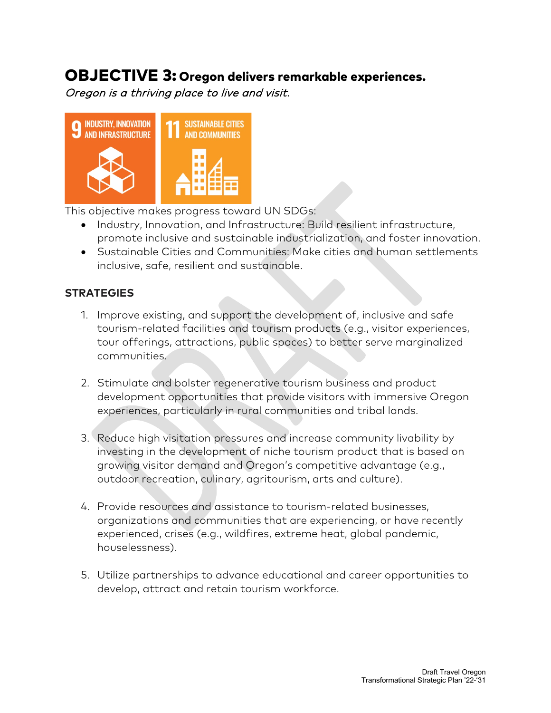### OBJECTIVE 3: Oregon delivers remarkable experiences.

Oregon is a thriving place to live and visit.



This objective makes progress toward UN SDGs:

- Industry, Innovation, and Infrastructure: Build resilient infrastructure, promote inclusive and sustainable industrialization, and foster innovation.
- Sustainable Cities and Communities: Make cities and human settlements inclusive, safe, resilient and sustainable.

- 1. Improve existing, and support the development of, inclusive and safe tourism-related facilities and tourism products (e.g., visitor experiences, tour offerings, attractions, public spaces) to better serve marginalized communities.
- 2. Stimulate and bolster regenerative tourism business and product development opportunities that provide visitors with immersive Oregon experiences, particularly in rural communities and tribal lands.
- 3. Reduce high visitation pressures and increase community livability by investing in the development of niche tourism product that is based on growing visitor demand and Oregon's competitive advantage (e.g., outdoor recreation, culinary, agritourism, arts and culture).
- 4. Provide resources and assistance to tourism-related businesses, organizations and communities that are experiencing, or have recently experienced, crises (e.g., wildfires, extreme heat, global pandemic, houselessness).
- 5. Utilize partnerships to advance educational and career opportunities to develop, attract and retain tourism workforce.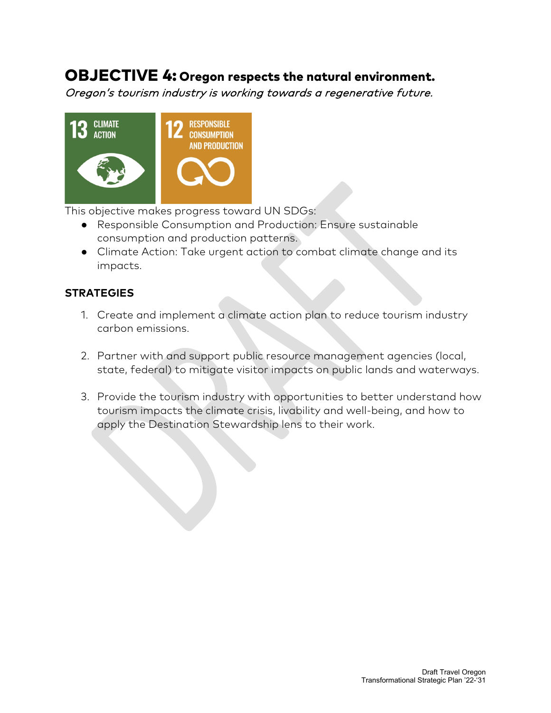### OBJECTIVE 4: Oregon respects the natural environment.

Oregon's tourism industry is working towards a regenerative future.



This objective makes progress toward UN SDGs:

- Responsible Consumption and Production: Ensure sustainable consumption and production patterns.
- Climate Action: Take urgent action to combat climate change and its impacts.

- 1. Create and implement a climate action plan to reduce tourism industry carbon emissions.
- 2. Partner with and support public resource management agencies (local, state, federal) to mitigate visitor impacts on public lands and waterways.
- 3. Provide the tourism industry with opportunities to better understand how tourism impacts the climate crisis, livability and well-being, and how to apply the Destination Stewardship lens to their work.